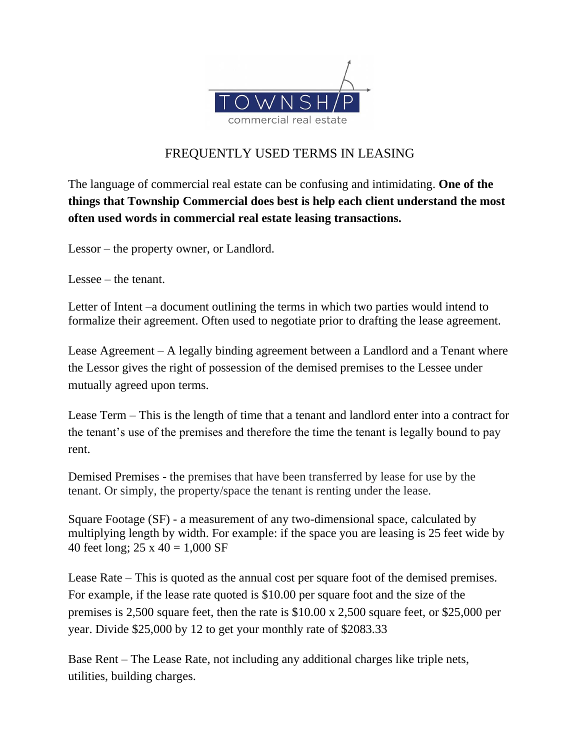

## FREQUENTLY USED TERMS IN LEASING

The language of commercial real estate can be confusing and intimidating. **One of the things that Township Commercial does best is help each client understand the most often used words in commercial real estate leasing transactions.**

Lessor – the property owner, or Landlord.

Lessee – the tenant.

Letter of Intent –a document outlining the terms in which two parties would intend to formalize their agreement. Often used to negotiate prior to drafting the lease agreement.

Lease Agreement – A legally binding agreement between a Landlord and a Tenant where the Lessor gives the right of possession of the demised premises to the Lessee under mutually agreed upon terms.

Lease Term – This is the length of time that a tenant and landlord enter into a contract for the tenant's use of the premises and therefore the time the tenant is legally bound to pay rent.

Demised Premises - the premises that have been transferred by lease for use by the tenant. Or simply, the property/space the tenant is renting under the lease.

Square Footage (SF) - a measurement of any two-dimensional space, calculated by multiplying length by width. For example: if the space you are leasing is 25 feet wide by 40 feet long;  $25 \times 40 = 1,000 \text{ SF}$ 

Lease Rate – This is quoted as the annual cost per square foot of the demised premises. For example, if the lease rate quoted is \$10.00 per square foot and the size of the premises is 2,500 square feet, then the rate is \$10.00 x 2,500 square feet, or \$25,000 per year. Divide \$25,000 by 12 to get your monthly rate of \$2083.33

Base Rent – The Lease Rate, not including any additional charges like triple nets, utilities, building charges.